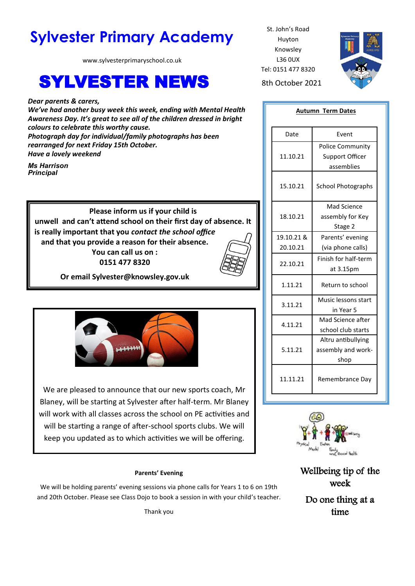# **Sylvester Primary Academy** St. John's Road

www.sylvesterprimaryschool.co.uk

# **SYLVESTER NEWS** 8th October 2021

*Dear parents & carers, We've had another busy week this week, ending with Mental Health Awareness Day. It's great to see all of the children dressed in bright colours to celebrate this worthy cause. Photograph day for individual/family photographs has been rearranged for next Friday 15th October. Have a lovely weekend*

*Ms Harrison Principal*

> **Please inform us if your child is unwell and can't attend school on their first day of absence. It is really important that you** *contact the school office*  **and that you provide a reason for their absence. You can call us on :**

> > **0151 477 8320**



**Or email Sylvester@knowsley.gov.uk**



We are pleased to announce that our new sports coach, Mr Blaney, will be starting at Sylvester after half-term. Mr Blaney will work with all classes across the school on PE activities and will be starting a range of after-school sports clubs. We will keep you updated as to which activities we will be offering.

# **Parents' Evening**

We will be holding parents' evening sessions via phone calls for Years 1 to 6 on 19th and 20th October. Please see Class Dojo to book a session in with your child's teacher.

Thank you

Huyton Knowsley L36 0UX Tel: 0151 477 8320



| <b>Autumn Term Dates</b> |                           |
|--------------------------|---------------------------|
| Date                     | Event                     |
| 11.10.21                 | <b>Police Community</b>   |
|                          | Support Officer           |
|                          | assemblies                |
| 15.10.21                 | <b>School Photographs</b> |
| 18.10.21                 | Mad Science               |
|                          | assembly for Key          |
|                          | Stage 2                   |
| 19.10.21 &               | Parents' evening          |
| 20.10.21                 | (via phone calls)         |
| 22.10.21                 | Finish for half-term      |
|                          | at 3.15pm                 |
| 1.11.21                  | Return to school          |
| 3.11.21                  | Music lessons start       |
|                          | in Year 5                 |
| 4.11.21                  | Mad Science after         |
|                          | school club starts        |
| 5.11.21                  | Altru antibullying        |
|                          | assembly and work-        |
|                          | shop                      |
| 11.11.21                 | Remembrance Day           |



Wellbeing tip of the week

Do one thing at a time